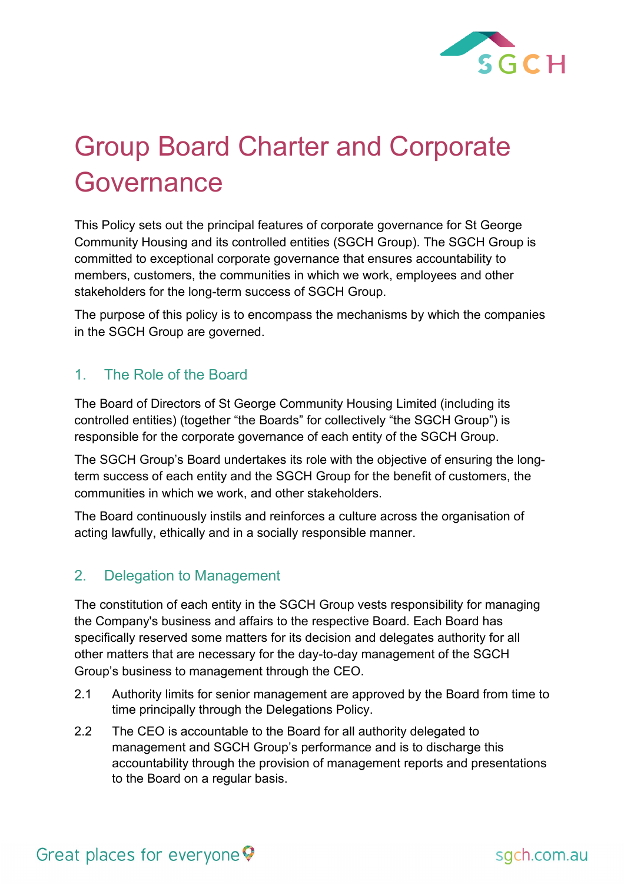

# Group Board Charter and Corporate **Governance**

This Policy sets out the principal features of corporate governance for St George Community Housing and its controlled entities (SGCH Group). The SGCH Group is committed to exceptional corporate governance that ensures accountability to members, customers, the communities in which we work, employees and other stakeholders for the long-term success of SGCH Group.

The purpose of this policy is to encompass the mechanisms by which the companies in the SGCH Group are governed.

#### 1. The Role of the Board

The Board of Directors of St George Community Housing Limited (including its controlled entities) (together "the Boards" for collectively "the SGCH Group") is responsible for the corporate governance of each entity of the SGCH Group.

The SGCH Group's Board undertakes its role with the objective of ensuring the longterm success of each entity and the SGCH Group for the benefit of customers, the communities in which we work, and other stakeholders.

The Board continuously instils and reinforces a culture across the organisation of acting lawfully, ethically and in a socially responsible manner.

#### 2. Delegation to Management

The constitution of each entity in the SGCH Group vests responsibility for managing the Company's business and affairs to the respective Board. Each Board has specifically reserved some matters for its decision and delegates authority for all other matters that are necessary for the day-to-day management of the SGCH Group's business to management through the CEO.

- 2.1 Authority limits for senior management are approved by the Board from time to time principally through the Delegations Policy.
- 2.2 The CEO is accountable to the Board for all authority delegated to management and SGCH Group's performance and is to discharge this accountability through the provision of management reports and presentations to the Board on a regular basis.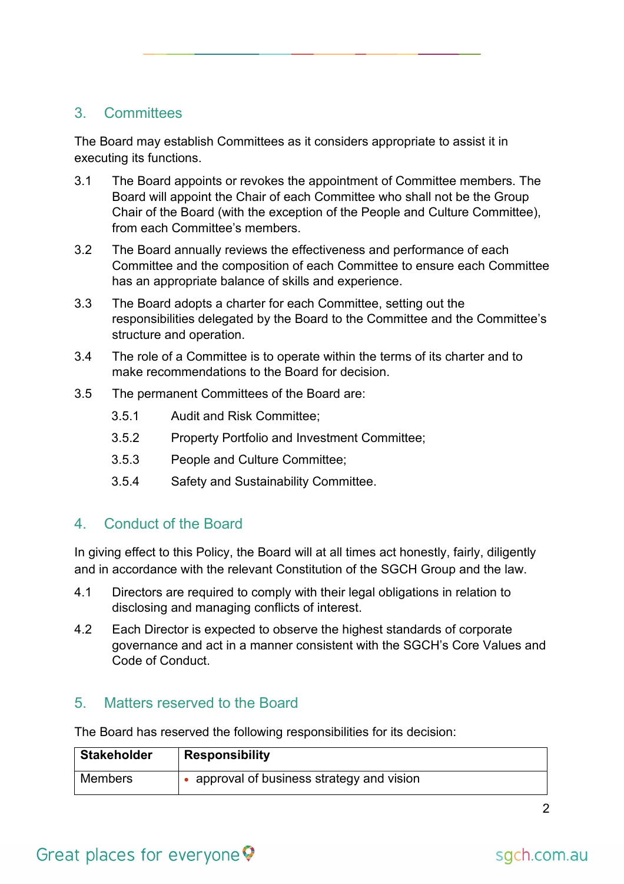#### 3. Committees

The Board may establish Committees as it considers appropriate to assist it in executing its functions.

- 3.1 The Board appoints or revokes the appointment of Committee members. The Board will appoint the Chair of each Committee who shall not be the Group Chair of the Board (with the exception of the People and Culture Committee), from each Committee's members.
- 3.2 The Board annually reviews the effectiveness and performance of each Committee and the composition of each Committee to ensure each Committee has an appropriate balance of skills and experience.
- 3.3 The Board adopts a charter for each Committee, setting out the responsibilities delegated by the Board to the Committee and the Committee's structure and operation.
- 3.4 The role of a Committee is to operate within the terms of its charter and to make recommendations to the Board for decision.
- 3.5 The permanent Committees of the Board are:
	- 3.5.1 Audit and Risk Committee;
	- 3.5.2 Property Portfolio and Investment Committee;
	- 3.5.3 People and Culture Committee;
	- 3.5.4 Safety and Sustainability Committee.

#### 4. Conduct of the Board

In giving effect to this Policy, the Board will at all times act honestly, fairly, diligently and in accordance with the relevant Constitution of the SGCH Group and the law.

- 4.1 Directors are required to comply with their legal obligations in relation to disclosing and managing conflicts of interest.
- 4.2 Each Director is expected to observe the highest standards of corporate governance and act in a manner consistent with the SGCH's Core Values and Code of Conduct.

#### 5. Matters reserved to the Board

The Board has reserved the following responsibilities for its decision:

| <b>Stakeholder</b> | <b>Responsibility</b>                    |
|--------------------|------------------------------------------|
| <b>Members</b>     | approval of business strategy and vision |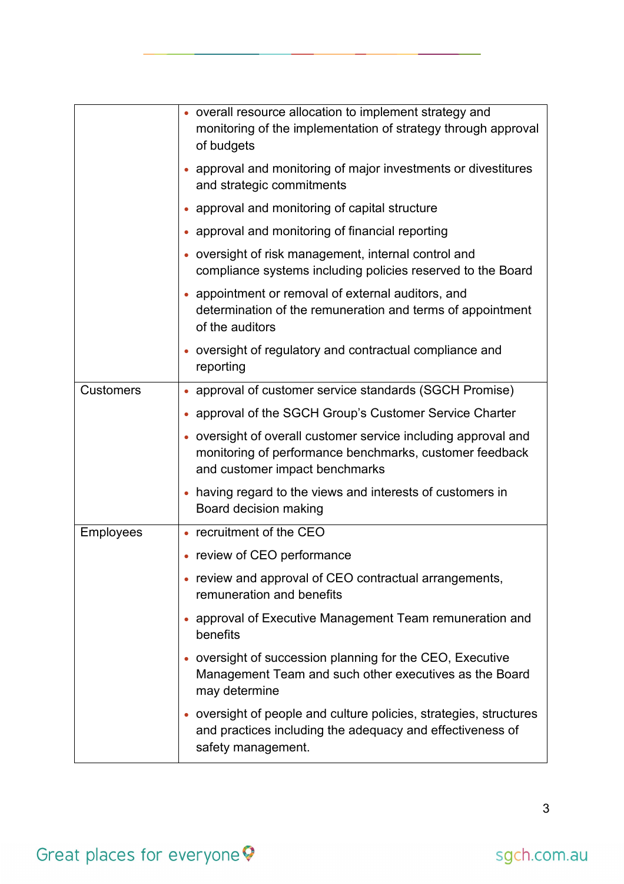|                  | • overall resource allocation to implement strategy and<br>monitoring of the implementation of strategy through approval<br>of budgets                      |
|------------------|-------------------------------------------------------------------------------------------------------------------------------------------------------------|
|                  | • approval and monitoring of major investments or divestitures<br>and strategic commitments                                                                 |
|                  | approval and monitoring of capital structure                                                                                                                |
|                  | • approval and monitoring of financial reporting                                                                                                            |
|                  | • oversight of risk management, internal control and<br>compliance systems including policies reserved to the Board                                         |
|                  | • appointment or removal of external auditors, and<br>determination of the remuneration and terms of appointment<br>of the auditors                         |
|                  | • oversight of regulatory and contractual compliance and<br>reporting                                                                                       |
| <b>Customers</b> | • approval of customer service standards (SGCH Promise)                                                                                                     |
|                  | approval of the SGCH Group's Customer Service Charter                                                                                                       |
|                  | • oversight of overall customer service including approval and<br>monitoring of performance benchmarks, customer feedback<br>and customer impact benchmarks |
|                  | • having regard to the views and interests of customers in<br>Board decision making                                                                         |
| <b>Employees</b> | • recruitment of the CEO                                                                                                                                    |
|                  | • review of CEO performance                                                                                                                                 |
|                  | • review and approval of CEO contractual arrangements,<br>remuneration and benefits                                                                         |
|                  | approval of Executive Management Team remuneration and<br>benefits                                                                                          |
|                  | • oversight of succession planning for the CEO, Executive<br>Management Team and such other executives as the Board<br>may determine                        |
|                  | • oversight of people and culture policies, strategies, structures<br>and practices including the adequacy and effectiveness of<br>safety management.       |

# Great places for everyone ?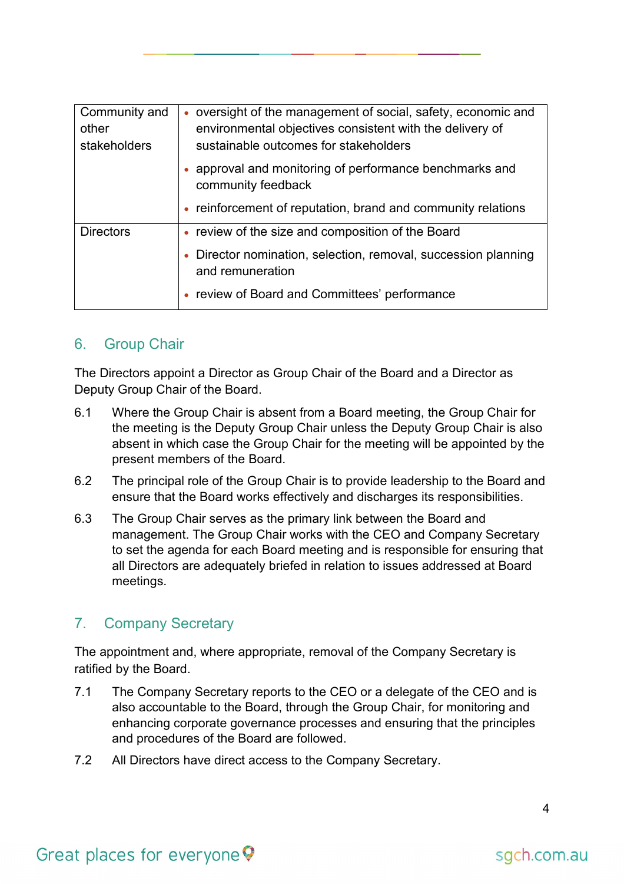| Community and<br>other<br>stakeholders | • oversight of the management of social, safety, economic and<br>environmental objectives consistent with the delivery of<br>sustainable outcomes for stakeholders |
|----------------------------------------|--------------------------------------------------------------------------------------------------------------------------------------------------------------------|
|                                        | • approval and monitoring of performance benchmarks and<br>community feedback                                                                                      |
|                                        | • reinforcement of reputation, brand and community relations                                                                                                       |
| <b>Directors</b>                       | • review of the size and composition of the Board                                                                                                                  |
|                                        | • Director nomination, selection, removal, succession planning<br>and remuneration                                                                                 |
|                                        | • review of Board and Committees' performance                                                                                                                      |

#### 6. Group Chair

The Directors appoint a Director as Group Chair of the Board and a Director as Deputy Group Chair of the Board.

- 6.1 Where the Group Chair is absent from a Board meeting, the Group Chair for the meeting is the Deputy Group Chair unless the Deputy Group Chair is also absent in which case the Group Chair for the meeting will be appointed by the present members of the Board.
- 6.2 The principal role of the Group Chair is to provide leadership to the Board and ensure that the Board works effectively and discharges its responsibilities.
- 6.3 The Group Chair serves as the primary link between the Board and management. The Group Chair works with the CEO and Company Secretary to set the agenda for each Board meeting and is responsible for ensuring that all Directors are adequately briefed in relation to issues addressed at Board meetings.

#### 7. Company Secretary

The appointment and, where appropriate, removal of the Company Secretary is ratified by the Board.

- 7.1 The Company Secretary reports to the CEO or a delegate of the CEO and is also accountable to the Board, through the Group Chair, for monitoring and enhancing corporate governance processes and ensuring that the principles and procedures of the Board are followed.
- 7.2 All Directors have direct access to the Company Secretary.

### Great places for everyone  $\heartsuit$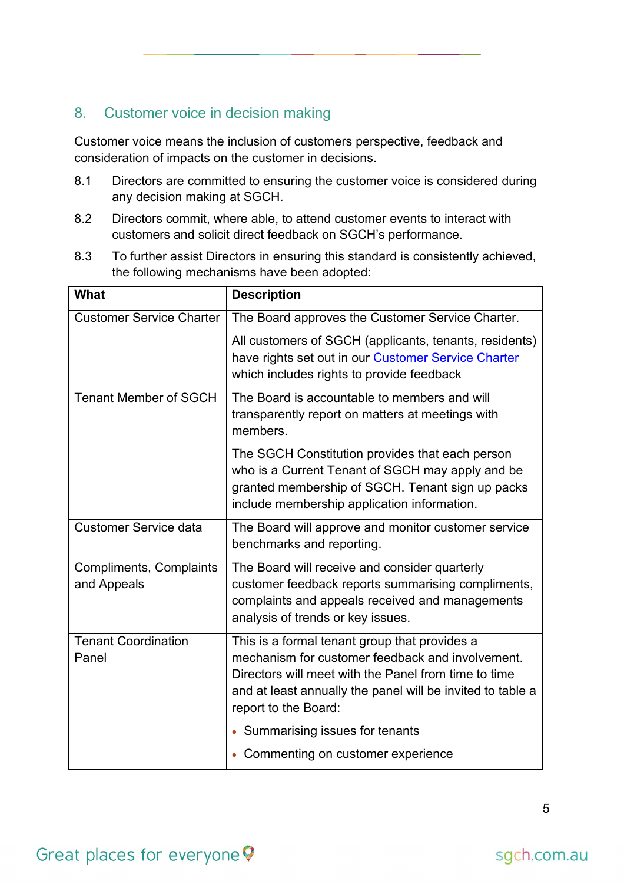#### 8. Customer voice in decision making

Customer voice means the inclusion of customers perspective, feedback and consideration of impacts on the customer in decisions.

- 8.1 Directors are committed to ensuring the customer voice is considered during any decision making at SGCH.
- 8.2 Directors commit, where able, to attend customer events to interact with customers and solicit direct feedback on SGCH's performance.
- 8.3 To further assist Directors in ensuring this standard is consistently achieved, the following mechanisms have been adopted:

| <b>What</b>                     | <b>Description</b>                                                                                                 |
|---------------------------------|--------------------------------------------------------------------------------------------------------------------|
| <b>Customer Service Charter</b> | The Board approves the Customer Service Charter.                                                                   |
|                                 | All customers of SGCH (applicants, tenants, residents)                                                             |
|                                 | have rights set out in our <b>Customer Service Charter</b>                                                         |
|                                 | which includes rights to provide feedback                                                                          |
| <b>Tenant Member of SGCH</b>    | The Board is accountable to members and will                                                                       |
|                                 | transparently report on matters at meetings with<br>members.                                                       |
|                                 | The SGCH Constitution provides that each person                                                                    |
|                                 | who is a Current Tenant of SGCH may apply and be<br>granted membership of SGCH. Tenant sign up packs               |
|                                 | include membership application information.                                                                        |
| <b>Customer Service data</b>    | The Board will approve and monitor customer service                                                                |
|                                 | benchmarks and reporting.                                                                                          |
| <b>Compliments, Complaints</b>  | The Board will receive and consider quarterly                                                                      |
| and Appeals                     | customer feedback reports summarising compliments,                                                                 |
|                                 | complaints and appeals received and managements<br>analysis of trends or key issues.                               |
| <b>Tenant Coordination</b>      | This is a formal tenant group that provides a                                                                      |
| Panel                           | mechanism for customer feedback and involvement.                                                                   |
|                                 | Directors will meet with the Panel from time to time<br>and at least annually the panel will be invited to table a |
|                                 | report to the Board:                                                                                               |
|                                 | • Summarising issues for tenants                                                                                   |
|                                 | • Commenting on customer experience                                                                                |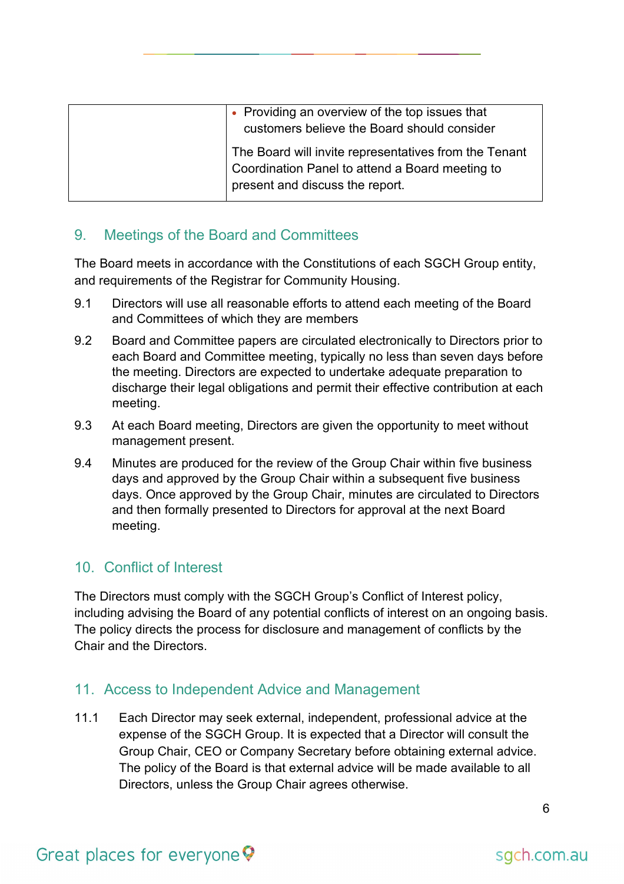| • Providing an overview of the top issues that                                                                                              |
|---------------------------------------------------------------------------------------------------------------------------------------------|
| customers believe the Board should consider                                                                                                 |
| The Board will invite representatives from the Tenant<br>Coordination Panel to attend a Board meeting to<br>present and discuss the report. |

#### 9. Meetings of the Board and Committees

The Board meets in accordance with the Constitutions of each SGCH Group entity, and requirements of the Registrar for Community Housing.

- 9.1 Directors will use all reasonable efforts to attend each meeting of the Board and Committees of which they are members
- 9.2 Board and Committee papers are circulated electronically to Directors prior to each Board and Committee meeting, typically no less than seven days before the meeting. Directors are expected to undertake adequate preparation to discharge their legal obligations and permit their effective contribution at each meeting.
- 9.3 At each Board meeting, Directors are given the opportunity to meet without management present.
- 9.4 Minutes are produced for the review of the Group Chair within five business days and approved by the Group Chair within a subsequent five business days. Once approved by the Group Chair, minutes are circulated to Directors and then formally presented to Directors for approval at the next Board meeting.

#### 10. Conflict of Interest

The Directors must comply with the SGCH Group's Conflict of Interest policy, including advising the Board of any potential conflicts of interest on an ongoing basis. The policy directs the process for disclosure and management of conflicts by the Chair and the Directors.

#### 11. Access to Independent Advice and Management

11.1 Each Director may seek external, independent, professional advice at the expense of the SGCH Group. It is expected that a Director will consult the Group Chair, CEO or Company Secretary before obtaining external advice. The policy of the Board is that external advice will be made available to all Directors, unless the Group Chair agrees otherwise.

### Great places for everyone  $\heartsuit$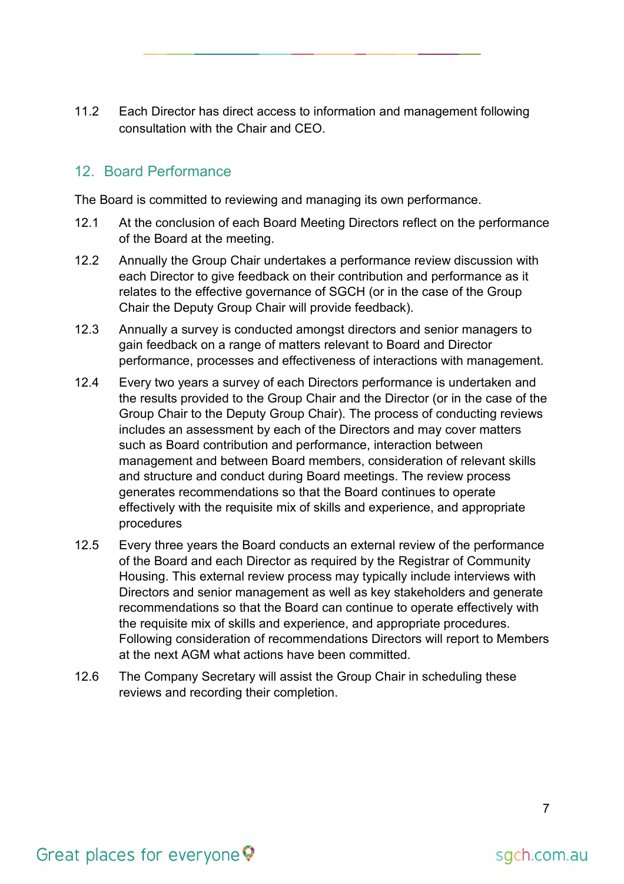11.2 Each Director has direct access to information and management following consultation with the Chair and CEO.

#### 12. Board Performance

The Board is committed to reviewing and managing its own performance.

- 12.1 At the conclusion of each Board Meeting Directors reflect on the performance of the Board at the meeting.
- 12.2 Annually the Group Chair undertakes a performance review discussion with each Director to give feedback on their contribution and performance as it relates to the effective governance of SGCH (or in the case of the Group Chair the Deputy Group Chair will provide feedback).
- 12.3 Annually a survey is conducted amongst directors and senior managers to gain feedback on a range of matters relevant to Board and Director performance, processes and effectiveness of interactions with management.
- 12.4 Every two years a survey of each Directors performance is undertaken and the results provided to the Group Chair and the Director (or in the case of the Group Chair to the Deputy Group Chair). The process of conducting reviews includes an assessment by each of the Directors and may cover matters such as Board contribution and performance, interaction between management and between Board members, consideration of relevant skills and structure and conduct during Board meetings. The review process generates recommendations so that the Board continues to operate effectively with the requisite mix of skills and experience, and appropriate procedures
- 12.5 Every three years the Board conducts an external review of the performance of the Board and each Director as required by the Registrar of Community Housing. This external review process may typically include interviews with Directors and senior management as well as key stakeholders and generate recommendations so that the Board can continue to operate effectively with the requisite mix of skills and experience, and appropriate procedures. Following consideration of recommendations Directors will report to Members at the next AGM what actions have been committed.
- 12.6 The Company Secretary will assist the Group Chair in scheduling these reviews and recording their completion.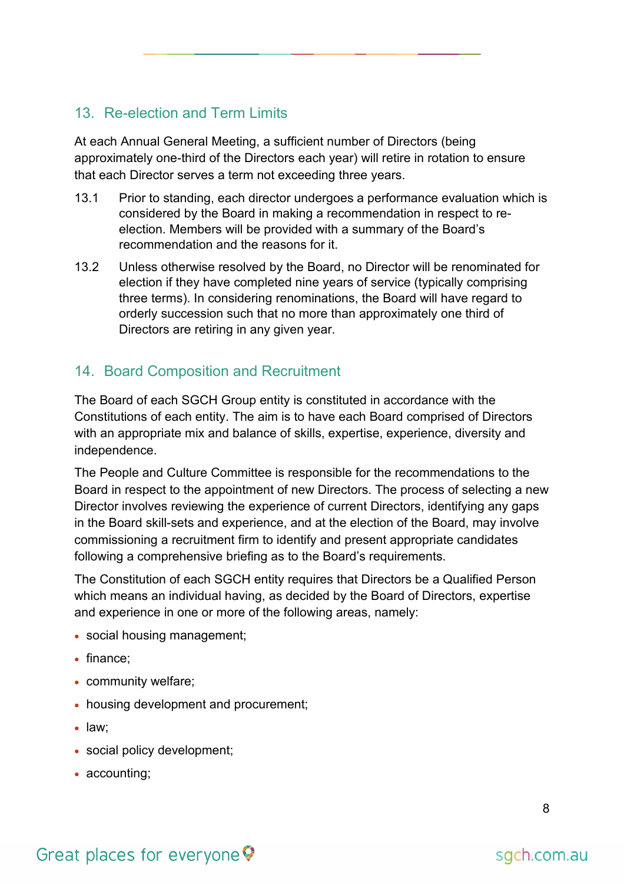#### 13. Re-election and Term Limits

At each Annual General Meeting, a sufficient number of Directors (being approximately one-third of the Directors each year) will retire in rotation to ensure that each Director serves a term not exceeding three years.

- 13.1 Prior to standing, each director undergoes a performance evaluation which is considered by the Board in making a recommendation in respect to reelection. Members will be provided with a summary of the Board's recommendation and the reasons for it.
- 13.2 Unless otherwise resolved by the Board, no Director will be renominated for election if they have completed nine years of service (typically comprising three terms). In considering renominations, the Board will have regard to orderly succession such that no more than approximately one third of Directors are retiring in any given year.

#### 14. Board Composition and Recruitment

The Board of each SGCH Group entity is constituted in accordance with the Constitutions of each entity. The aim is to have each Board comprised of Directors with an appropriate mix and balance of skills, expertise, experience, diversity and independence.

The People and Culture Committee is responsible for the recommendations to the Board in respect to the appointment of new Directors. The process of selecting a new Director involves reviewing the experience of current Directors, identifying any gaps in the Board skill-sets and experience, and at the election of the Board, may involve commissioning a recruitment firm to identify and present appropriate candidates following a comprehensive briefing as to the Board's requirements.

The Constitution of each SGCH entity requires that Directors be a Qualified Person which means an individual having, as decided by the Board of Directors, expertise and experience in one or more of the following areas, namely:

- social housing management;
- finance:
- community welfare;
- housing development and procurement;
- law;
- social policy development;
- accounting;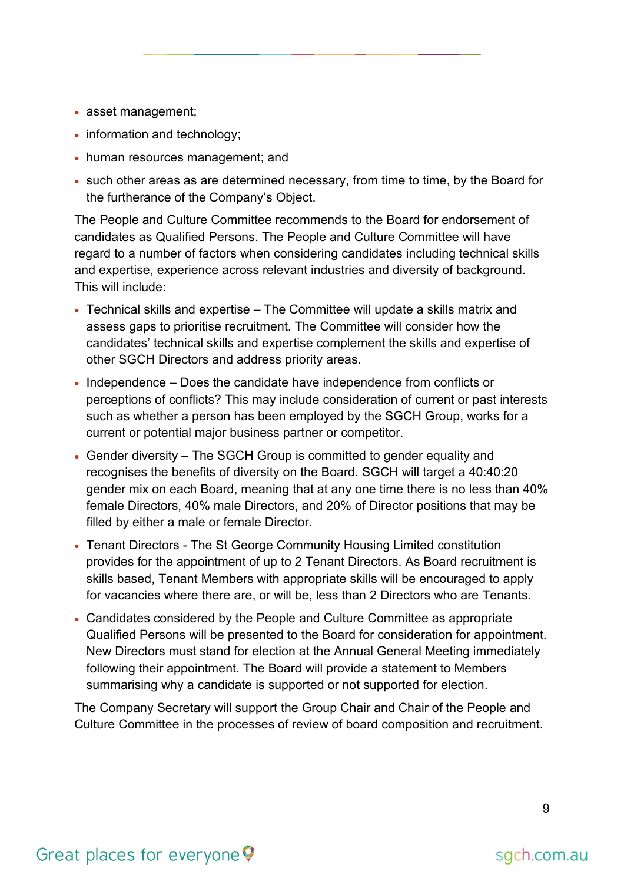- asset management;
- information and technology;
- human resources management; and
- such other areas as are determined necessary, from time to time, by the Board for the furtherance of the Company's Object.

The People and Culture Committee recommends to the Board for endorsement of candidates as Qualified Persons. The People and Culture Committee will have regard to a number of factors when considering candidates including technical skills and expertise, experience across relevant industries and diversity of background. This will include:

- Technical skills and expertise The Committee will update a skills matrix and assess gaps to prioritise recruitment. The Committee will consider how the candidates' technical skills and expertise complement the skills and expertise of other SGCH Directors and address priority areas.
- Independence Does the candidate have independence from conflicts or perceptions of conflicts? This may include consideration of current or past interests such as whether a person has been employed by the SGCH Group, works for a current or potential major business partner or competitor.
- Gender diversity The SGCH Group is committed to gender equality and recognises the benefits of diversity on the Board. SGCH will target a 40:40:20 gender mix on each Board, meaning that at any one time there is no less than 40% female Directors, 40% male Directors, and 20% of Director positions that may be filled by either a male or female Director.
- Tenant Directors The St George Community Housing Limited constitution provides for the appointment of up to 2 Tenant Directors. As Board recruitment is skills based, Tenant Members with appropriate skills will be encouraged to apply for vacancies where there are, or will be, less than 2 Directors who are Tenants.
- Candidates considered by the People and Culture Committee as appropriate Qualified Persons will be presented to the Board for consideration for appointment. New Directors must stand for election at the Annual General Meeting immediately following their appointment. The Board will provide a statement to Members summarising why a candidate is supported or not supported for election.

The Company Secretary will support the Group Chair and Chair of the People and Culture Committee in the processes of review of board composition and recruitment.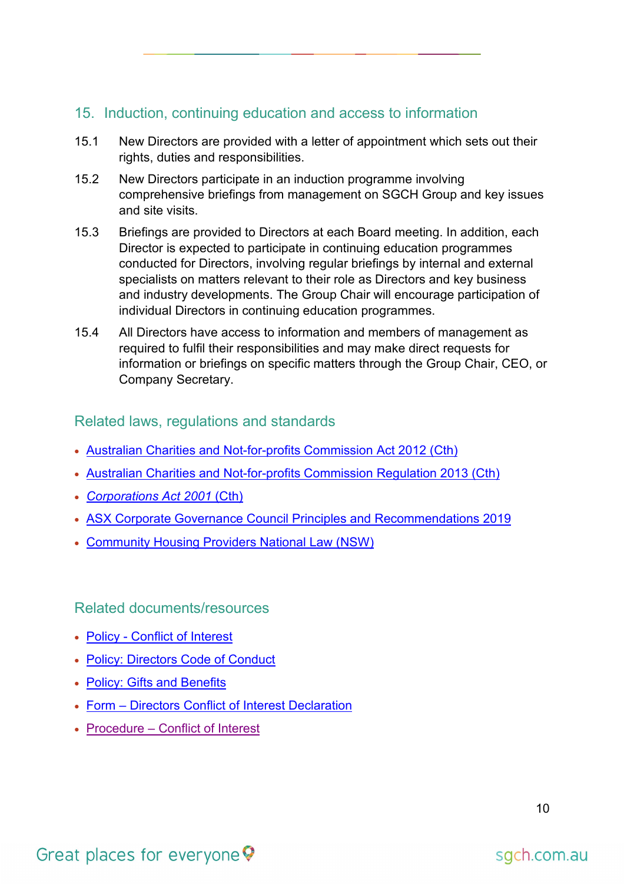#### 15. Induction, continuing education and access to information

- 15.1 New Directors are provided with a letter of appointment which sets out their rights, duties and responsibilities.
- 15.2 New Directors participate in an induction programme involving comprehensive briefings from management on SGCH Group and key issues and site visits.
- 15.3 Briefings are provided to Directors at each Board meeting. In addition, each Director is expected to participate in continuing education programmes conducted for Directors, involving regular briefings by internal and external specialists on matters relevant to their role as Directors and key business and industry developments. The Group Chair will encourage participation of individual Directors in continuing education programmes.
- 15.4 All Directors have access to information and members of management as required to fulfil their responsibilities and may make direct requests for information or briefings on specific matters through the Group Chair, CEO, or Company Secretary.

#### Related laws, regulations and standards

- [Australian Charities and Not-for-profits Commission Act 2012 \(Cth\)](https://www.legislation.gov.au/Details/C2021C00153)
- [Australian Charities and Not-for-profits Commission Regulation 2013 \(Cth\)](https://www.legislation.gov.au/Details/F2013C00451)
- *[Corporations Act 2001](https://www.legislation.gov.au/Details/C2019C00151)* (Cth)
- [ASX Corporate Governance Council Principles and Recommendations 2019](https://www.asx.com.au/documents/regulation/cgc-principles-and-recommendations-fourth-edn.pdf)
- [Community Housing Providers National Law \(NSW\)](https://legislation.nsw.gov.au/view/html/inforce/current/act-2012-059)

Related documents/resources

- Policy [Conflict of Interest](https://stgeorgecommunityhousing.sharepoint.com/SGCH_Documents/Policies/Conflict%20of%20Interest.pdf)
- [Policy: Directors Code of Conduct](https://stgeorgecommunityhousing.sharepoint.com/SGCH_Documents/Policies/Directors)
- [Policy: Gifts and Benefits](https://stgeorgecommunityhousing.sharepoint.com/SGCH_Documents/Policies/Gifts%20and%20Benefits.pdf)
- Form [Directors Conflict of Interest Declaration](https://stgeorgecommunityhousing.sharepoint.com/SGCH_Documents/Directors)
- Procedure [Conflict of Interest](https://au.promapp.com/sgch/Process/65fdcfdd-5492-4fa2-9a6b-ccc85826de40)

## Great places for everyone

sgch.com.au